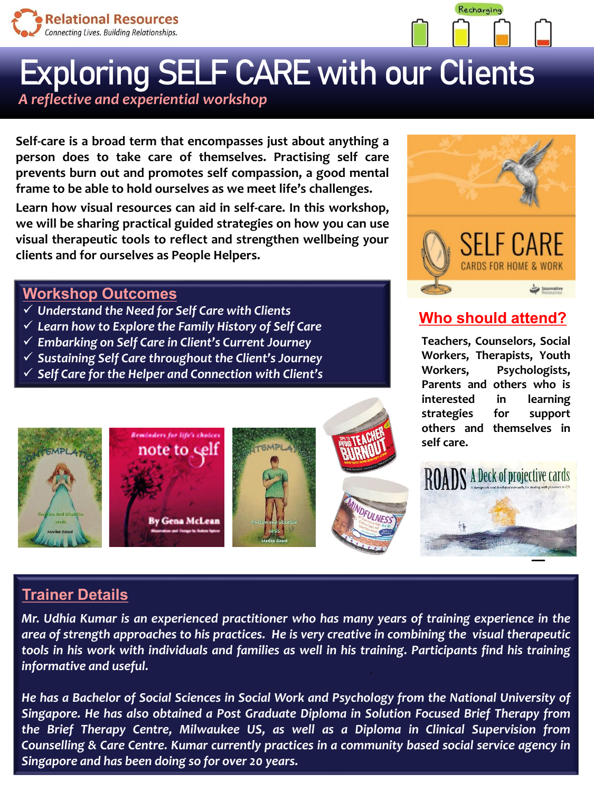

# **Exploring SELF CARE with our Clients**

*A reflective and experiential workshop* 

**Self-care is a broad term that encompasses just about anything a person does to take care of themselves. Practising self care prevents burn out and promotes self compassion, a good mental frame to be able to hold ourselves as we meet life's challenges.**

**Learn how visual resources can aid in self-care. In this workshop, we will be sharing practical guided strategies on how you can use visual therapeutic tools to reflect and strengthen wellbeing your clients and for ourselves as People Helpers.**

#### **Workshop Outcomes**

- ✓ *Understand the Need for Self Care with Clients*
- ✓ *Learn how to Explore the Family History of Self Care*
- ✓ *Embarking on Self Care in Client's Current Journey*
- ✓ *Sustaining Self Care throughout the Client's Journey*
- ✓ *Self Care for the Helper and Connection with Client's*









Recharging

### **Who should attend?**

**Teachers, Counselors, Social Workers, Therapists, Youth Workers, Psychologists, Parents and others who is interested in learning strategies for support others and themselves in self care.**



#### **Trainer Details**

*Mr. Udhia Kumar is an experienced practitioner who has many years of training experience in the area of strength approaches to his practices. He is very creative in combining the visual therapeutic tools in his work with individuals and families as well in his training. Participants find his training informative and useful.*

*He has a Bachelor of Social Sciences in Social Work and Psychology from the National University of Singapore. He has also obtained a Post Graduate Diploma in Solution Focused Brief Therapy from the Brief Therapy Centre, Milwaukee US, as well as a Diploma in Clinical Supervision from Counselling & Care Centre. Kumar currently practices in a community based social service agency in Singapore and has been doing so for over 20 years.*